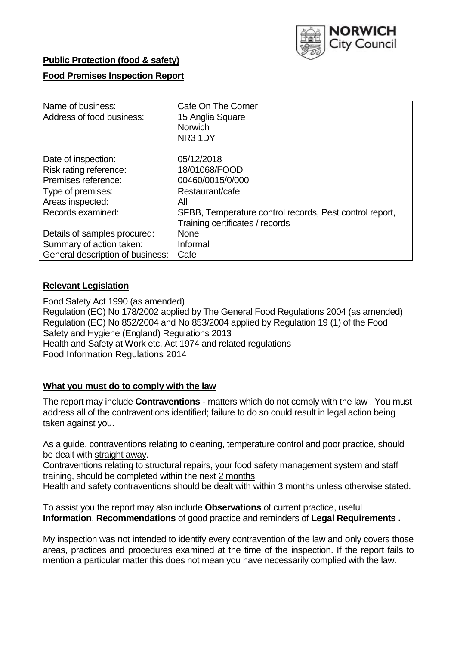

### **Public Protection (food & safety)**

# **Food Premises Inspection Report**

| Name of business:                | Cafe On The Corner                                      |
|----------------------------------|---------------------------------------------------------|
| Address of food business:        | 15 Anglia Square                                        |
|                                  | Norwich                                                 |
|                                  | NR3 1DY                                                 |
| Date of inspection:              | 05/12/2018                                              |
| Risk rating reference:           | 18/01068/FOOD                                           |
| Premises reference:              | 00460/0015/0/000                                        |
| Type of premises:                | Restaurant/cafe                                         |
| Areas inspected:                 | All                                                     |
| Records examined:                | SFBB, Temperature control records, Pest control report, |
|                                  | Training certificates / records                         |
| Details of samples procured:     | None                                                    |
| Summary of action taken:         | Informal                                                |
| General description of business: | Cafe                                                    |

# **Relevant Legislation**

Food Safety Act 1990 (as amended) Regulation (EC) No 178/2002 applied by The General Food Regulations 2004 (as amended) Regulation (EC) No 852/2004 and No 853/2004 applied by Regulation 19 (1) of the Food Safety and Hygiene (England) Regulations 2013 Health and Safety at Work etc. Act 1974 and related regulations Food Information Regulations 2014

### **What you must do to comply with the law**

The report may include **Contraventions** - matters which do not comply with the law . You must address all of the contraventions identified; failure to do so could result in legal action being taken against you.

As a guide, contraventions relating to cleaning, temperature control and poor practice, should be dealt with straight away.

Contraventions relating to structural repairs, your food safety management system and staff training, should be completed within the next 2 months.

Health and safety contraventions should be dealt with within 3 months unless otherwise stated.

To assist you the report may also include **Observations** of current practice, useful **Information**, **Recommendations** of good practice and reminders of **Legal Requirements .**

My inspection was not intended to identify every contravention of the law and only covers those areas, practices and procedures examined at the time of the inspection. If the report fails to mention a particular matter this does not mean you have necessarily complied with the law.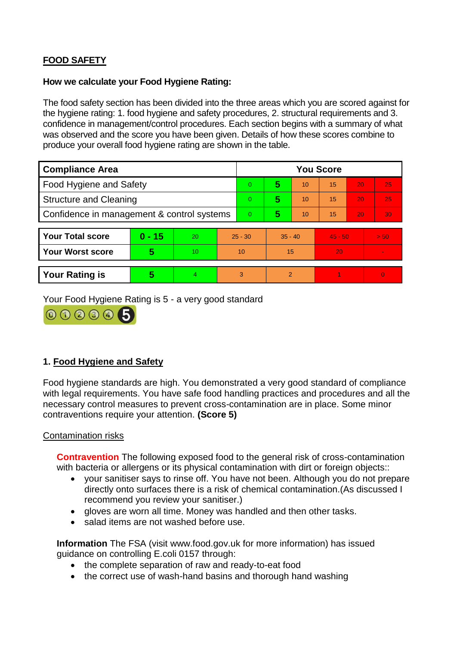# **FOOD SAFETY**

### **How we calculate your Food Hygiene Rating:**

The food safety section has been divided into the three areas which you are scored against for the hygiene rating: 1. food hygiene and safety procedures, 2. structural requirements and 3. confidence in management/control procedures. Each section begins with a summary of what was observed and the score you have been given. Details of how these scores combine to produce your overall food hygiene rating are shown in the table.

| <b>Compliance Area</b>                     |          |    |          | <b>You Score</b> |                |           |    |           |          |  |  |
|--------------------------------------------|----------|----|----------|------------------|----------------|-----------|----|-----------|----------|--|--|
| Food Hygiene and Safety                    |          |    |          | $\Omega$         | 5              | 10        | 15 | 20        | 25       |  |  |
| <b>Structure and Cleaning</b>              |          |    | $\Omega$ | 5                | 10             | 15        | 20 | 25        |          |  |  |
| Confidence in management & control systems |          |    | $\Omega$ | 5                | 10             | 15        | 20 | 30        |          |  |  |
|                                            |          |    |          |                  |                |           |    |           |          |  |  |
| <b>Your Total score</b>                    | $0 - 15$ | 20 |          | $25 - 30$        |                | $35 - 40$ |    | $45 - 50$ | > 50     |  |  |
| <b>Your Worst score</b>                    | 5        | 10 |          | 10               | 15             |           | 20 |           |          |  |  |
|                                            |          |    |          |                  |                |           |    |           |          |  |  |
| <b>Your Rating is</b>                      | 5        | 4  |          | 3                | $\overline{2}$ |           |    |           | $\Omega$ |  |  |

Your Food Hygiene Rating is 5 - a very good standard



# **1. Food Hygiene and Safety**

Food hygiene standards are high. You demonstrated a very good standard of compliance with legal requirements. You have safe food handling practices and procedures and all the necessary control measures to prevent cross-contamination are in place. Some minor contraventions require your attention. **(Score 5)**

### Contamination risks

**Contravention** The following exposed food to the general risk of cross-contamination with bacteria or allergens or its physical contamination with dirt or foreign objects::

- your sanitiser says to rinse off. You have not been. Although you do not prepare directly onto surfaces there is a risk of chemical contamination.(As discussed I recommend you review your sanitiser.)
- gloves are worn all time. Money was handled and then other tasks.
- salad items are not washed before use.

**Information** The FSA (visit www.food.gov.uk for more information) has issued guidance on controlling E.coli 0157 through:

- the complete separation of raw and ready-to-eat food
- the correct use of wash-hand basins and thorough hand washing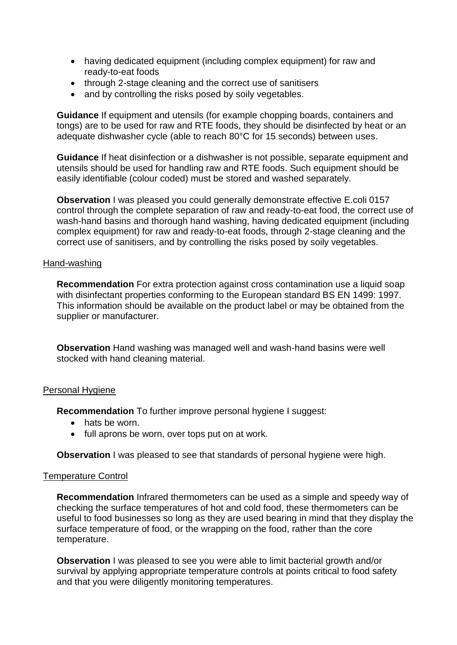- having dedicated equipment (including complex equipment) for raw and ready-to-eat foods
- through 2-stage cleaning and the correct use of sanitisers
- and by controlling the risks posed by soily vegetables.

**Guidance** If equipment and utensils (for example chopping boards, containers and tongs) are to be used for raw and RTE foods, they should be disinfected by heat or an adequate dishwasher cycle (able to reach 80°C for 15 seconds) between uses.

**Guidance** If heat disinfection or a dishwasher is not possible, separate equipment and utensils should be used for handling raw and RTE foods. Such equipment should be easily identifiable (colour coded) must be stored and washed separately.

**Observation I** was pleased you could generally demonstrate effective E.coli 0157 control through the complete separation of raw and ready-to-eat food, the correct use of wash-hand basins and thorough hand washing, having dedicated equipment (including complex equipment) for raw and ready-to-eat foods, through 2-stage cleaning and the correct use of sanitisers, and by controlling the risks posed by soily vegetables.

### Hand-washing

**Recommendation** For extra protection against cross contamination use a liquid soap with disinfectant properties conforming to the European standard BS EN 1499: 1997. This information should be available on the product label or may be obtained from the supplier or manufacturer.

**Observation** Hand washing was managed well and wash-hand basins were well stocked with hand cleaning material.

#### Personal Hygiene

**Recommendation** To further improve personal hygiene I suggest:

- hats be worn.
- full aprons be worn, over tops put on at work.

**Observation** I was pleased to see that standards of personal hygiene were high.

#### Temperature Control

**Recommendation** Infrared thermometers can be used as a simple and speedy way of checking the surface temperatures of hot and cold food, these thermometers can be useful to food businesses so long as they are used bearing in mind that they display the surface temperature of food, or the wrapping on the food, rather than the core temperature.

**Observation** I was pleased to see you were able to limit bacterial growth and/or survival by applying appropriate temperature controls at points critical to food safety and that you were diligently monitoring temperatures.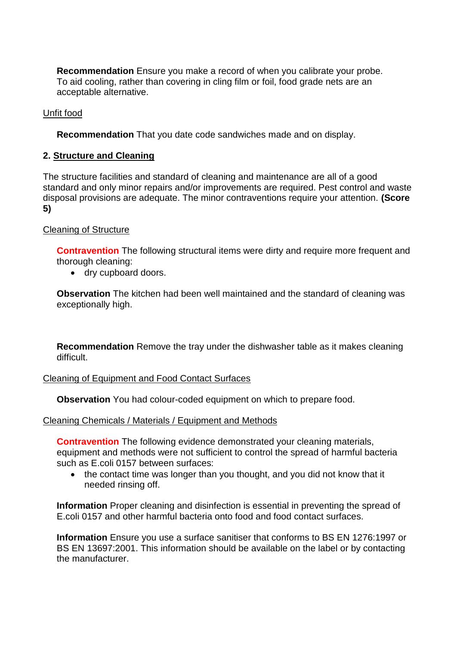**Recommendation** Ensure you make a record of when you calibrate your probe. To aid cooling, rather than covering in cling film or foil, food grade nets are an acceptable alternative.

# Unfit food

**Recommendation** That you date code sandwiches made and on display.

# **2. Structure and Cleaning**

The structure facilities and standard of cleaning and maintenance are all of a good standard and only minor repairs and/or improvements are required. Pest control and waste disposal provisions are adequate. The minor contraventions require your attention. **(Score 5)**

# Cleaning of Structure

**Contravention** The following structural items were dirty and require more frequent and thorough cleaning:

dry cupboard doors.

**Observation** The kitchen had been well maintained and the standard of cleaning was exceptionally high.

**Recommendation** Remove the tray under the dishwasher table as it makes cleaning difficult.

### Cleaning of Equipment and Food Contact Surfaces

**Observation** You had colour-coded equipment on which to prepare food.

### Cleaning Chemicals / Materials / Equipment and Methods

**Contravention** The following evidence demonstrated your cleaning materials, equipment and methods were not sufficient to control the spread of harmful bacteria such as E.coli 0157 between surfaces:

• the contact time was longer than you thought, and you did not know that it needed rinsing off.

**Information** Proper cleaning and disinfection is essential in preventing the spread of E.coli 0157 and other harmful bacteria onto food and food contact surfaces.

**Information** Ensure you use a surface sanitiser that conforms to BS EN 1276:1997 or BS EN 13697:2001. This information should be available on the label or by contacting the manufacturer.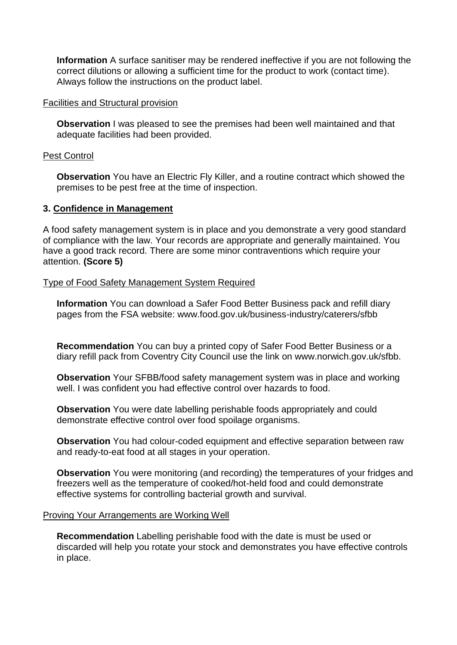**Information** A surface sanitiser may be rendered ineffective if you are not following the correct dilutions or allowing a sufficient time for the product to work (contact time). Always follow the instructions on the product label.

#### Facilities and Structural provision

**Observation** I was pleased to see the premises had been well maintained and that adequate facilities had been provided.

#### Pest Control

**Observation** You have an Electric Fly Killer, and a routine contract which showed the premises to be pest free at the time of inspection.

### **3. Confidence in Management**

A food safety management system is in place and you demonstrate a very good standard of compliance with the law. Your records are appropriate and generally maintained. You have a good track record. There are some minor contraventions which require your attention. **(Score 5)**

### Type of Food Safety Management System Required

**Information** You can download a Safer Food Better Business pack and refill diary pages from the FSA website: www.food.gov.uk/business-industry/caterers/sfbb

**Recommendation** You can buy a printed copy of Safer Food Better Business or a diary refill pack from Coventry City Council use the link on www.norwich.gov.uk/sfbb.

**Observation** Your SFBB/food safety management system was in place and working well. I was confident you had effective control over hazards to food.

**Observation** You were date labelling perishable foods appropriately and could demonstrate effective control over food spoilage organisms.

**Observation** You had colour-coded equipment and effective separation between raw and ready-to-eat food at all stages in your operation.

**Observation** You were monitoring (and recording) the temperatures of your fridges and freezers well as the temperature of cooked/hot-held food and could demonstrate effective systems for controlling bacterial growth and survival.

#### Proving Your Arrangements are Working Well

**Recommendation** Labelling perishable food with the date is must be used or discarded will help you rotate your stock and demonstrates you have effective controls in place.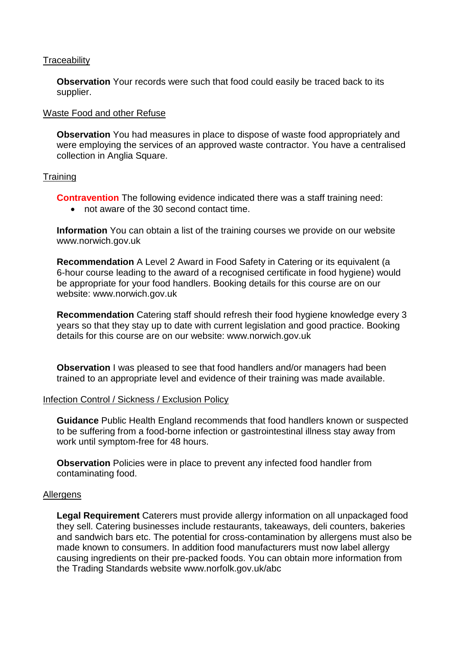### **Traceability**

**Observation** Your records were such that food could easily be traced back to its supplier.

### Waste Food and other Refuse

**Observation** You had measures in place to dispose of waste food appropriately and were employing the services of an approved waste contractor. You have a centralised collection in Anglia Square.

### **Training**

**Contravention** The following evidence indicated there was a staff training need:

not aware of the 30 second contact time.

**Information** You can obtain a list of the training courses we provide on our website www.norwich.gov.uk

**Recommendation** A Level 2 Award in Food Safety in Catering or its equivalent (a 6-hour course leading to the award of a recognised certificate in food hygiene) would be appropriate for your food handlers. Booking details for this course are on our website: www.norwich.gov.uk

**Recommendation** Catering staff should refresh their food hygiene knowledge every 3 years so that they stay up to date with current legislation and good practice. Booking details for this course are on our website: www.norwich.gov.uk

**Observation** I was pleased to see that food handlers and/or managers had been trained to an appropriate level and evidence of their training was made available.

#### Infection Control / Sickness / Exclusion Policy

**Guidance** Public Health England recommends that food handlers known or suspected to be suffering from a food-borne infection or gastrointestinal illness stay away from work until symptom-free for 48 hours.

**Observation** Policies were in place to prevent any infected food handler from contaminating food.

#### **Allergens**

**Legal Requirement** Caterers must provide allergy information on all unpackaged food they sell. Catering businesses include restaurants, takeaways, deli counters, bakeries and sandwich bars etc. The potential for cross-contamination by allergens must also be made known to consumers. In addition food manufacturers must now label allergy causing ingredients on their pre-packed foods. You can obtain more information from the Trading Standards website www.norfolk.gov.uk/abc